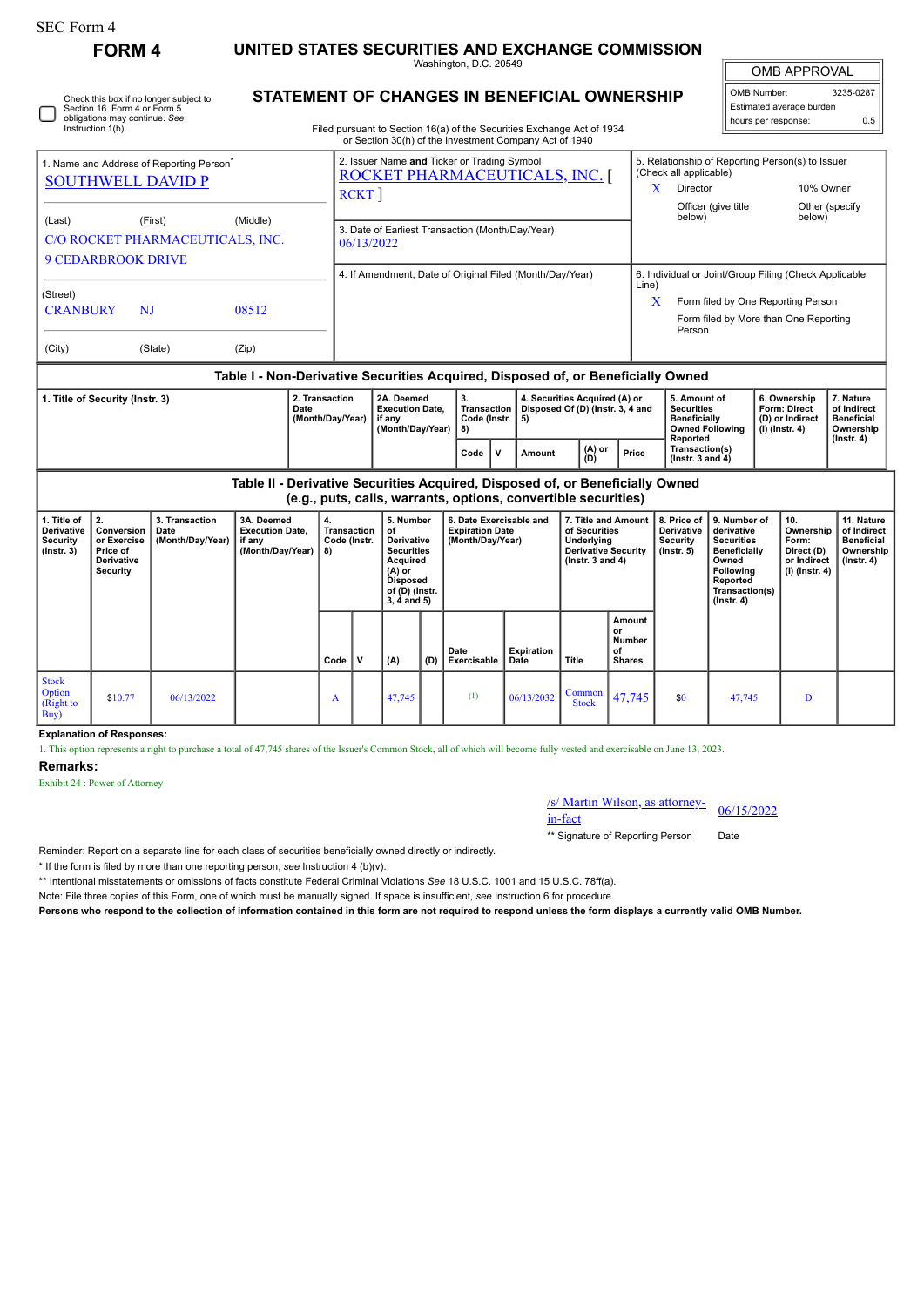| SEC Form 4    |              |
|---------------|--------------|
| <b>FORM 4</b> | <b>UNITE</b> |
|               |              |

 $\Box$ 

## **ED STATES SECURITIES AND EXCHANGE COMMISSION**

Washington, D.C. 20549

OMB APPROVAL

| OMB Number:              | 3235-0287 |
|--------------------------|-----------|
| Estimated average burden |           |
| hours per response:      | 0.5       |

**7. Nature of Indirect Beneficial Ownership (Instr. 4)**

|                                                                                                | Section 16, Form 4 or Form 5<br>obligations may continue. See | Check this box if no longer subject to |       | <b>STATEMENT OF CHANGES IN BENEFICIAL OWNERSHIP</b><br>Filed pursuant to Section 16(a) of the Securities Exchange Act of 1934 |                  |                                                                                                                                                 |                                                                             |                                                |   |                                                                         |  |       |                                         |                                                                                                       | OMB Number:<br>3235-02<br>Estimated average burden<br>hours per response: |     |                                                                     |                                                    |  |  |
|------------------------------------------------------------------------------------------------|---------------------------------------------------------------|----------------------------------------|-------|-------------------------------------------------------------------------------------------------------------------------------|------------------|-------------------------------------------------------------------------------------------------------------------------------------------------|-----------------------------------------------------------------------------|------------------------------------------------|---|-------------------------------------------------------------------------|--|-------|-----------------------------------------|-------------------------------------------------------------------------------------------------------|---------------------------------------------------------------------------|-----|---------------------------------------------------------------------|----------------------------------------------------|--|--|
|                                                                                                | Instruction 1(b).                                             |                                        |       |                                                                                                                               |                  | or Section 30(h) of the Investment Company Act of 1940                                                                                          |                                                                             |                                                |   |                                                                         |  |       |                                         |                                                                                                       |                                                                           |     |                                                                     |                                                    |  |  |
| 1. Name and Address of Reporting Person <sup>®</sup><br><b>SOUTHWELL DAVID P</b>               |                                                               |                                        |       |                                                                                                                               |                  | 2. Issuer Name and Ticker or Trading Symbol<br>ROCKET PHARMACEUTICALS, INC.<br>RCKT                                                             |                                                                             |                                                |   |                                                                         |  |       |                                         | 5. Relationship of Reporting Person(s) to Issuer<br>(Check all applicable)<br>X<br>Director<br>below) | Officer (give title                                                       |     | 10% Owner<br>below)                                                 | Other (specify)                                    |  |  |
| (Middle)<br>(Last)<br>(First)<br>C/O ROCKET PHARMACEUTICALS, INC.<br><b>9 CEDARBROOK DRIVE</b> |                                                               |                                        |       |                                                                                                                               |                  | 3. Date of Earliest Transaction (Month/Day/Year)<br>06/13/2022                                                                                  |                                                                             |                                                |   |                                                                         |  |       |                                         |                                                                                                       |                                                                           |     |                                                                     |                                                    |  |  |
|                                                                                                |                                                               |                                        |       |                                                                                                                               |                  | 4. If Amendment, Date of Original Filed (Month/Day/Year)                                                                                        |                                                                             |                                                |   |                                                                         |  |       |                                         | 6. Individual or Joint/Group Filing (Check Applicable<br>Line)                                        |                                                                           |     |                                                                     |                                                    |  |  |
| (Street)<br><b>CRANBURY</b>                                                                    | NJ                                                            |                                        | 08512 |                                                                                                                               |                  |                                                                                                                                                 |                                                                             |                                                |   |                                                                         |  |       |                                         | X                                                                                                     |                                                                           |     | Form filed by One Reporting Person                                  |                                                    |  |  |
|                                                                                                |                                                               |                                        |       |                                                                                                                               |                  |                                                                                                                                                 |                                                                             |                                                |   |                                                                         |  |       |                                         | Person                                                                                                |                                                                           |     | Form filed by More than One Reporting                               |                                                    |  |  |
| (City)                                                                                         |                                                               | (State)                                | (Zip) |                                                                                                                               |                  |                                                                                                                                                 |                                                                             |                                                |   |                                                                         |  |       |                                         |                                                                                                       |                                                                           |     |                                                                     |                                                    |  |  |
|                                                                                                |                                                               |                                        |       |                                                                                                                               |                  | Table I - Non-Derivative Securities Acquired, Disposed of, or Beneficially Owned                                                                |                                                                             |                                                |   |                                                                         |  |       |                                         |                                                                                                       |                                                                           |     |                                                                     |                                                    |  |  |
| 2. Transaction<br>1. Title of Security (Instr. 3)<br>Date                                      |                                                               |                                        |       |                                                                                                                               | (Month/Day/Year) | 2A. Deemed<br><b>Execution Date,</b><br>if any<br>(Month/Day/Year)                                                                              |                                                                             | 3.<br><b>Transaction</b><br>Code (Instr.<br>8) |   | 4. Securities Acquired (A) or<br>Disposed Of (D) (Instr. 3, 4 and<br>5) |  |       |                                         | 5. Amount of<br><b>Securities</b><br><b>Beneficially</b><br><b>Owned Following</b><br>Reported        |                                                                           |     | 6. Ownership<br>Form: Direct<br>(D) or Indirect<br>$(I)$ (Instr. 4) | 7. Natur<br>of Indire<br><b>Benefici</b><br>Owners |  |  |
|                                                                                                |                                                               |                                        |       |                                                                                                                               |                  |                                                                                                                                                 |                                                                             |                                                | v | $(A)$ or<br>Amount<br>(D)                                               |  | Price | Transaction(s)<br>(Instr. $3$ and $4$ ) |                                                                                                       |                                                                           |     | $($ Instr. 4 $)$                                                    |                                                    |  |  |
|                                                                                                |                                                               |                                        |       |                                                                                                                               |                  | Table II - Derivative Securities Acquired, Disposed of, or Beneficially Owned<br>(e.g., puts, calls, warrants, options, convertible securities) |                                                                             |                                                |   |                                                                         |  |       |                                         |                                                                                                       |                                                                           |     |                                                                     |                                                    |  |  |
| 1. Title of $\parallel$<br>2.<br>3. Transaction<br>3A. Deemed                                  |                                                               |                                        |       | 4.                                                                                                                            | 5. Number        |                                                                                                                                                 | 6. Date Exercisable and<br>7. Title and Amount   8. Price of   9. Number of |                                                |   |                                                                         |  |       |                                         |                                                                                                       |                                                                           | 10. | 11. Na                                                              |                                                    |  |  |

| 1. Title of<br>Derivative<br>Security<br>$($ lnstr. 3 $)$ | $\mathbf{2}$<br>Conversion<br>or Exercise<br>Price of<br>Derivative<br>Security | 3. Transaction<br>Date<br>(Month/Day/Year) | 3A. Deemed<br><b>Execution Date,</b><br>if any<br>(Month/Day/Year) | 4.<br>Transaction<br>Code (Instr.<br>  8) |             | 5. Number<br>οf<br><b>Derivative</b><br><b>Securities</b><br>Acquired<br>(A) or<br><b>Disposed</b><br>of (D) (Instr.<br>$3, 4$ and $5)$ |     | 6. Date Exercisable and<br><b>Expiration Date</b><br>(Month/Day/Year) |                           | 7. Title and Amount<br>of Securities<br>Underlying<br><b>Derivative Security</b><br>( $lnstr. 3 and 4$ ) |                                                      | 8. Price of<br><b>Derivative</b><br>Security<br>$($ lnstr. 5 $)$ | 9. Number of<br>derivative<br><b>Securities</b><br>Beneficially<br>Owned<br>Following<br>Reported<br>Transaction(s)<br>$($ Instr. 4 $)$ | 10.<br>Ownership<br>Form:<br>Direct (D)<br>or Indirect<br>$(I)$ (Instr. 4) | 11. Nature<br>of Indirect<br><b>Beneficial</b><br>Ownership<br>$($ Instr. 4 $)$ |
|-----------------------------------------------------------|---------------------------------------------------------------------------------|--------------------------------------------|--------------------------------------------------------------------|-------------------------------------------|-------------|-----------------------------------------------------------------------------------------------------------------------------------------|-----|-----------------------------------------------------------------------|---------------------------|----------------------------------------------------------------------------------------------------------|------------------------------------------------------|------------------------------------------------------------------|-----------------------------------------------------------------------------------------------------------------------------------------|----------------------------------------------------------------------------|---------------------------------------------------------------------------------|
|                                                           |                                                                                 |                                            |                                                                    | $Code \vert$                              | $\mathbf v$ | (A)                                                                                                                                     | (D) | Date<br>Exercisable                                                   | <b>Expiration</b><br>Date | Title                                                                                                    | Amount<br>or<br><b>Number</b><br>οf<br><b>Shares</b> |                                                                  |                                                                                                                                         |                                                                            |                                                                                 |
| <b>Stock</b><br>Option<br>(Right to<br>Buy)               | \$10.77                                                                         | 06/13/2022                                 |                                                                    | А                                         |             | 47,745                                                                                                                                  |     | (1)                                                                   | 06/13/2032                | Common<br><b>Stock</b>                                                                                   | 47,745                                               | \$0                                                              | 47,745                                                                                                                                  | D                                                                          |                                                                                 |

**Explanation of Responses:**

1. This option represents a right to purchase a total of 47,745 shares of the Issuer's Common Stock, all of which will become fully vested and exercisable on June 13, 2023.

## **Remarks:**

Exhibit 24 : Power of Attorney

## /s/ Martin Wilson, as attorney-in-fact 06/15/2022

\*\* Signature of Reporting Person Date

Reminder: Report on a separate line for each class of securities beneficially owned directly or indirectly.

\* If the form is filed by more than one reporting person, *see* Instruction 4 (b)(v).

\*\* Intentional misstatements or omissions of facts constitute Federal Criminal Violations *See* 18 U.S.C. 1001 and 15 U.S.C. 78ff(a).

Note: File three copies of this Form, one of which must be manually signed. If space is insufficient, *see* Instruction 6 for procedure.

**Persons who respond to the collection of information contained in this form are not required to respond unless the form displays a currently valid OMB Number.**